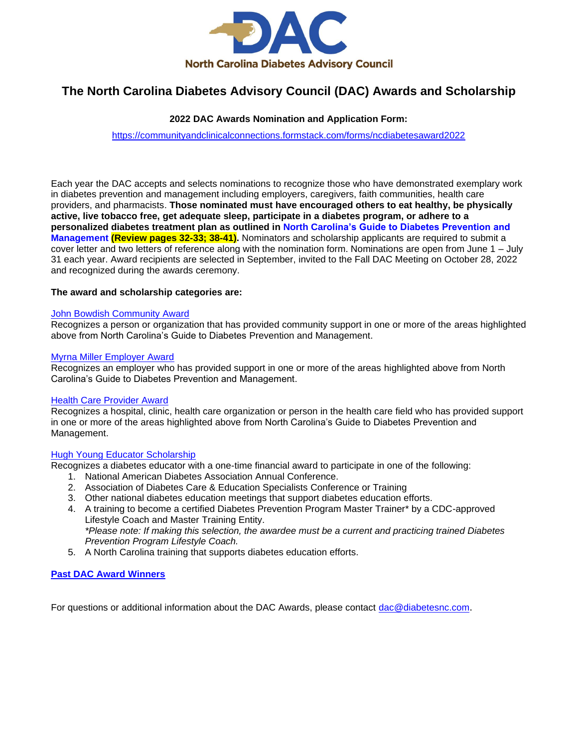

## **The North Carolina Diabetes Advisory Council (DAC) Awards and Scholarship**

## **2022 DAC Awards Nomination and Application Form:**

<https://communityandclinicalconnections.formstack.com/forms/ncdiabetesaward2022>

Each year the DAC accepts and selects nominations to recognize those who have demonstrated exemplary work in diabetes prevention and management including employers, caregivers, faith communities, health care providers, and pharmacists. **Those nominated must have encouraged others to eat healthy, be physically active, live tobacco free, get adequate sleep, participate in a diabetes program, or adhere to a personalized diabetes treatment plan as outlined in [North Carolina's Guide to Diabetes Prevention and](https://www.diabetesnc.com/wp-content/themes/dnc/assets/downloads/guide/NC_Guide_to_Diabetes_2020.pdf)  [Management](https://www.diabetesnc.com/wp-content/themes/dnc/assets/downloads/guide/NC_Guide_to_Diabetes_2020.pdf) (Review pages 32-33; 38-41).** Nominators and scholarship applicants are required to submit a cover letter and two letters of reference along with the nomination form. Nominations are open from June 1 – July 31 each year. Award recipients are selected in September, invited to the Fall DAC Meeting on October 28, 2022 and recognized during the awards ceremony.

#### **The award [and scholarship](#page-0-0) categories are:**

#### [John Bowdish Community Award](#page-0-0)

Recognizes a person or organization that has provided community support in one or more of the areas highlighted above from North Carolina's Guide to Diabetes Prevention and Management.

#### [Myrna Miller Employer Award](#page-1-0)

Recognizes an employer who has provided support in one or more of the areas highlighted above from North Carolina's Guide to Diabetes Prevention and Management.

#### [Health Care Provider Award](#page-2-0)

Recognizes a hospital, clinic, health care organization or person in the health care field who has provided support in one or more of the areas highlighted above from North Carolina's Guide to Diabetes Prevention and Management.

#### [Hugh Young Educator Scholarship](#page-3-0)

Recognizes a diabetes educator with a one-time financial award to participate in one of the following:

- 1. National American Diabetes Association Annual Conference.
- 2. Association of Diabetes Care & Education Specialists Conference or Training
- 3. Other national diabetes education meetings that support diabetes education efforts.
- 4. A training to become a certified Diabetes Prevention Program Master Trainer\* by a CDC-approved Lifestyle Coach and Master Training Entity. *\*Please note: If making this selection, the awardee must be a current and practicing trained Diabetes Prevention Program Lifestyle Coach.*
- 5. A North Carolina training that supports diabetes education efforts.

#### **[Past DAC Award Winners](#page-5-0)**

<span id="page-0-0"></span>For questions or additional information about the DAC Awards, please contact [dac@diabetesnc.com](mailto:dac@diabetesnc.com).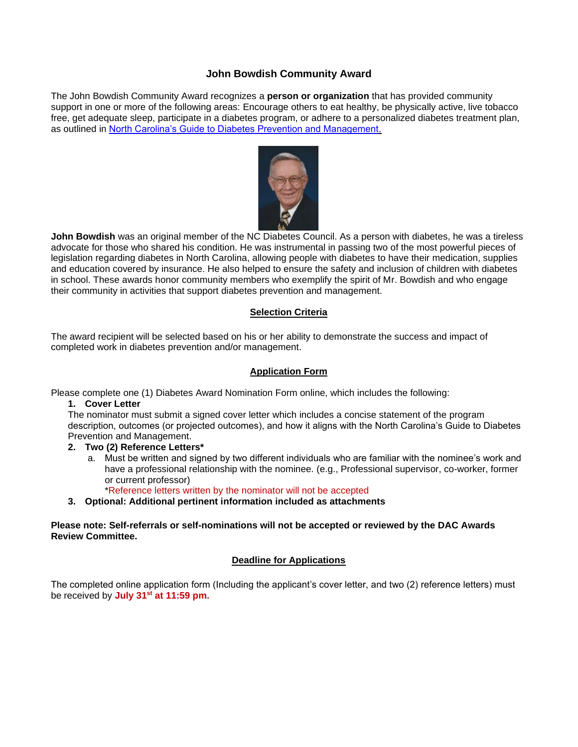## **John Bowdish Community Award**

The John Bowdish Community Award recognizes a **person or organization** that has provided community support in one or more of the following areas: Encourage others to eat healthy, be physically active, live tobacco free, get adequate sleep, participate in a diabetes program, or adhere to a personalized diabetes treatment plan, as outlined in [North Carolina's Guide to Diabetes Prevention and Management.](https://www.diabetesnc.com/wp-content/themes/dnc/assets/downloads/guide/NC_Guide_to_Diabetes_2020.pdf)



**John Bowdish** was an original member of the NC Diabetes Council. As a person with diabetes, he was a tireless advocate for those who shared his condition. He was instrumental in passing two of the most powerful pieces of legislation regarding diabetes in North Carolina, allowing people with diabetes to have their medication, supplies and education covered by insurance. He also helped to ensure the safety and inclusion of children with diabetes in school. These awards honor community members who exemplify the spirit of Mr. Bowdish and who engage their community in activities that support diabetes prevention and management.

#### **Selection Criteria**

The award recipient will be selected based on his or her ability to demonstrate the success and impact of completed work in diabetes prevention and/or management.

#### **Application Form**

Please complete one (1) Diabetes Award Nomination Form online, which includes the following:

#### **1. Cover Letter**

The nominator must submit a signed cover letter which includes a concise statement of the program description, outcomes (or projected outcomes), and how it aligns with the North Carolina's Guide to Diabetes Prevention and Management.

#### **2. Two (2) Reference Letters\***

a. Must be written and signed by two different individuals who are familiar with the nominee's work and have a professional relationship with the nominee. (e.g., Professional supervisor, co-worker, former or current professor)

\*Reference letters written by the nominator will not be accepted

**3. Optional: Additional pertinent information included as attachments**

#### <span id="page-1-0"></span>**Please note: Self-referrals or self-nominations will not be accepted or reviewed by the DAC Awards Review Committee.**

## **Deadline for Applications**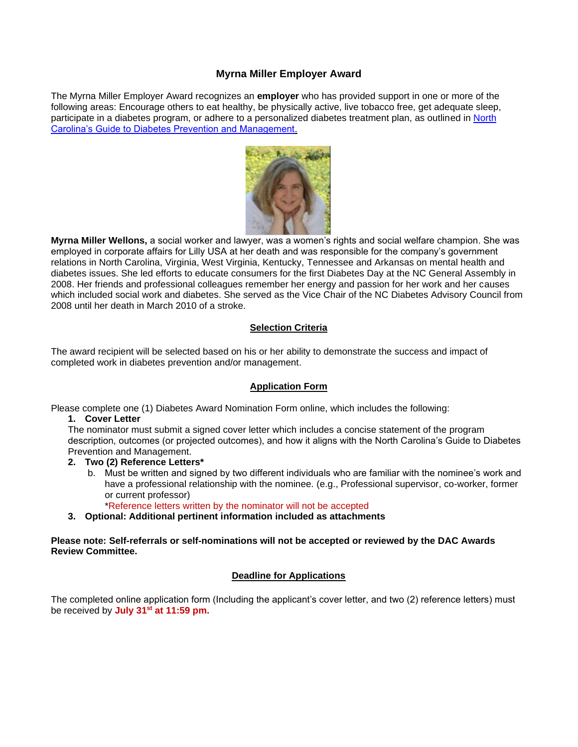## **Myrna Miller Employer Award**

The Myrna Miller Employer Award recognizes an **employer** who has provided support in one or more of the following areas: Encourage others to eat healthy, be physically active, live tobacco free, get adequate sleep, participate in a diabetes program, or adhere to a personalized diabetes treatment plan, as outlined in [North](https://www.diabetesnc.com/wp-content/themes/dnc/assets/downloads/guide/NC_Guide_to_Diabetes_2020.pdf)  [Carolina's Guide to Diabetes Prevention and Management.](https://www.diabetesnc.com/wp-content/themes/dnc/assets/downloads/guide/NC_Guide_to_Diabetes_2020.pdf)



**Myrna Miller Wellons,** a social worker and lawyer, was a women's rights and social welfare champion. She was employed in corporate affairs for Lilly USA at her death and was responsible for the company's government relations in North Carolina, Virginia, West Virginia, Kentucky, Tennessee and Arkansas on mental health and diabetes issues. She led efforts to educate consumers for the first Diabetes Day at the NC General Assembly in 2008. Her friends and professional colleagues remember her energy and passion for her work and her causes which included social work and diabetes. She served as the Vice Chair of the NC Diabetes Advisory Council from 2008 until her death in March 2010 of a stroke.

#### **Selection Criteria**

The award recipient will be selected based on his or her ability to demonstrate the success and impact of completed work in diabetes prevention and/or management.

#### **Application Form**

Please complete one (1) Diabetes Award Nomination Form online, which includes the following:

#### **1. Cover Letter**

The nominator must submit a signed cover letter which includes a concise statement of the program description, outcomes (or projected outcomes), and how it aligns with the North Carolina's Guide to Diabetes Prevention and Management.

## **2. Two (2) Reference Letters\***

b. Must be written and signed by two different individuals who are familiar with the nominee's work and have a professional relationship with the nominee. (e.g., Professional supervisor, co-worker, former or current professor)

\*Reference letters written by the nominator will not be accepted

**3. Optional: Additional pertinent information included as attachments**

#### <span id="page-2-0"></span>**Please note: Self-referrals or self-nominations will not be accepted or reviewed by the DAC Awards Review Committee.**

## **Deadline for Applications**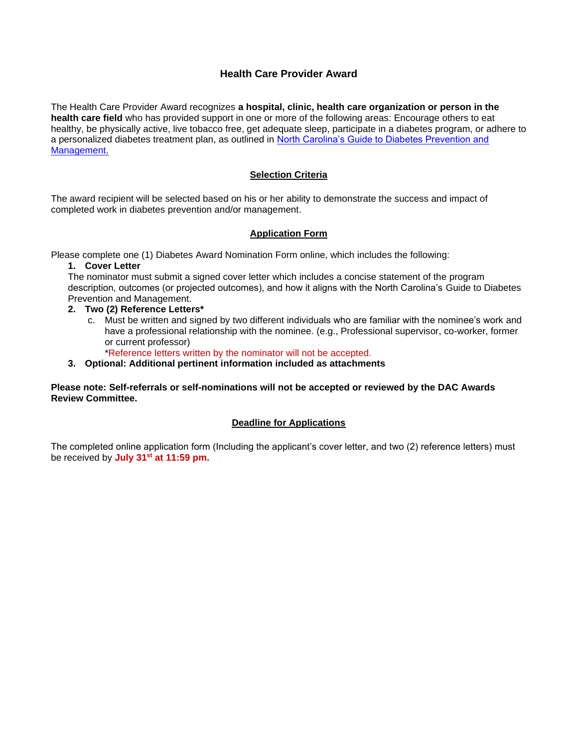## **Health Care Provider Award**

The Health Care Provider Award recognizes **a hospital, clinic, health care organization or person in the health care field** who has provided support in one or more of the following areas: Encourage others to eat healthy, be physically active, live tobacco free, get adequate sleep, participate in a diabetes program, or adhere to a personalized diabetes treatment plan, as outlined in [North Carolina's Guide to Diabetes Prevention and](https://www.diabetesnc.com/wp-content/themes/dnc/assets/downloads/guide/NC_Guide_to_Diabetes_2020.pdf)  [Management.](https://www.diabetesnc.com/wp-content/themes/dnc/assets/downloads/guide/NC_Guide_to_Diabetes_2020.pdf)

## **Selection Criteria**

The award recipient will be selected based on his or her ability to demonstrate the success and impact of completed work in diabetes prevention and/or management.

## **Application Form**

Please complete one (1) Diabetes Award Nomination Form online, which includes the following:

#### **1. Cover Letter**

The nominator must submit a signed cover letter which includes a concise statement of the program description, outcomes (or projected outcomes), and how it aligns with the North Carolina's Guide to Diabetes Prevention and Management.

#### **2. Two (2) Reference Letters\***

c. Must be written and signed by two different individuals who are familiar with the nominee's work and have a professional relationship with the nominee. (e.g., Professional supervisor, co-worker, former or current professor)

\*Reference letters written by the nominator will not be accepted.

#### **3. Optional: Additional pertinent information included as attachments**

#### <span id="page-3-0"></span>**Please note: Self-referrals or self-nominations will not be accepted or reviewed by the DAC Awards Review Committee.**

#### **Deadline for Applications**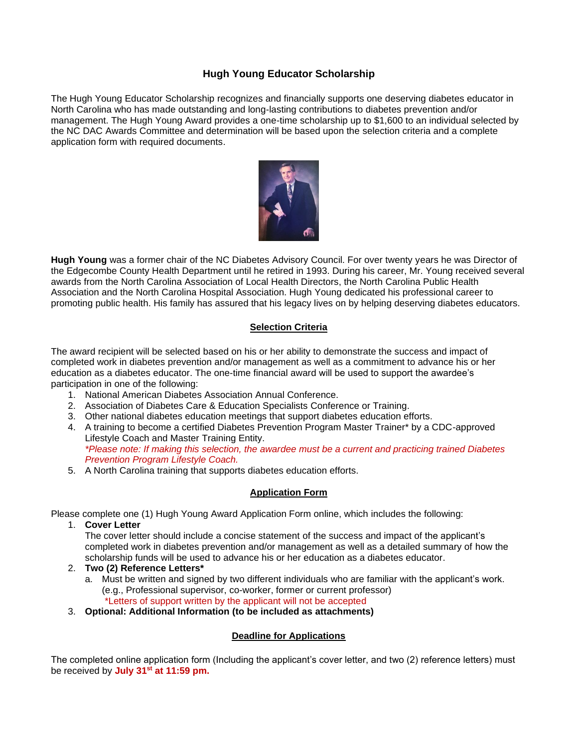## **Hugh Young Educator Scholarship**

The Hugh Young Educator Scholarship recognizes and financially supports one deserving diabetes educator in North Carolina who has made outstanding and long-lasting contributions to diabetes prevention and/or management. The Hugh Young Award provides a one-time scholarship up to \$1,600 to an individual selected by the NC DAC Awards Committee and determination will be based upon the selection criteria and a complete application form with required documents.



**Hugh Young** was a former chair of the NC Diabetes Advisory Council. For over twenty years he was Director of the Edgecombe County Health Department until he retired in 1993. During his career, Mr. Young received several awards from the North Carolina Association of Local Health Directors, the North Carolina Public Health Association and the North Carolina Hospital Association. Hugh Young dedicated his professional career to promoting public health. His family has assured that his legacy lives on by helping deserving diabetes educators.

## **Selection Criteria**

The award recipient will be selected based on his or her ability to demonstrate the success and impact of completed work in diabetes prevention and/or management as well as a commitment to advance his or her education as a diabetes educator. The one-time financial award will be used to support the awardee's participation in one of the following:

- 1. National American Diabetes Association Annual Conference.
- 2. Association of Diabetes Care & Education Specialists Conference or Training.
- 3. Other national diabetes education meetings that support diabetes education efforts.
- 4. A training to become a certified Diabetes Prevention Program Master Trainer\* by a CDC-approved Lifestyle Coach and Master Training Entity. *\*Please note: If making this selection, the awardee must be a current and practicing trained Diabetes Prevention Program Lifestyle Coach.*
- 5. A North Carolina training that supports diabetes education efforts.

## **Application Form**

Please complete one (1) Hugh Young Award Application Form online, which includes the following:

1. **Cover Letter**

The cover letter should include a concise statement of the success and impact of the applicant's completed work in diabetes prevention and/or management as well as a detailed summary of how the scholarship funds will be used to advance his or her education as a diabetes educator.

- 2. **Two (2) Reference Letters\***
	- a. Must be written and signed by two different individuals who are familiar with the applicant's work. (e.g., Professional supervisor, co-worker, former or current professor) \*Letters of support written by the applicant will not be accepted
- 3. **Optional: Additional Information (to be included as attachments)**

## **Deadline for Applications**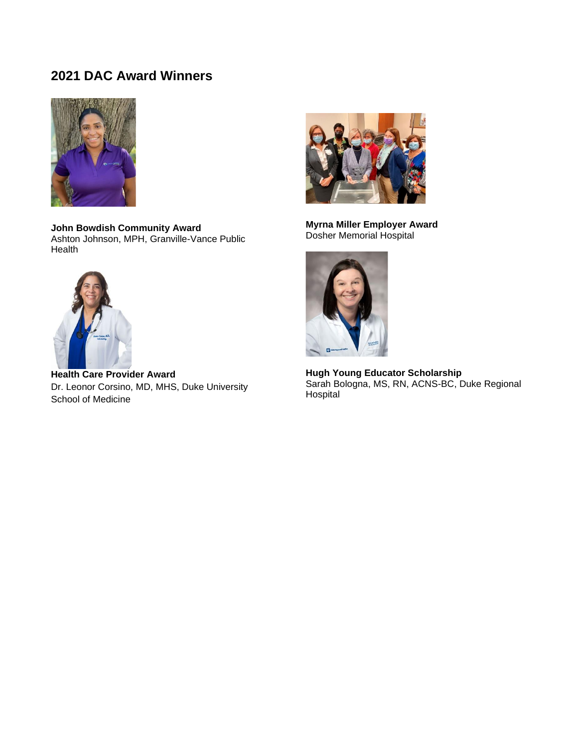<span id="page-5-0"></span>

**John Bowdish Community Award** Ashton Johnson, MPH, Granville-Vance Public Health



**Health Care Provider Award** Dr. Leonor Corsino, MD, MHS, Duke University School of Medicine



**Myrna Miller Employer Award**  Dosher Memorial Hospital



**Hugh Young Educator Scholarship** Sarah Bologna, MS, RN, ACNS-BC, Duke Regional Hospital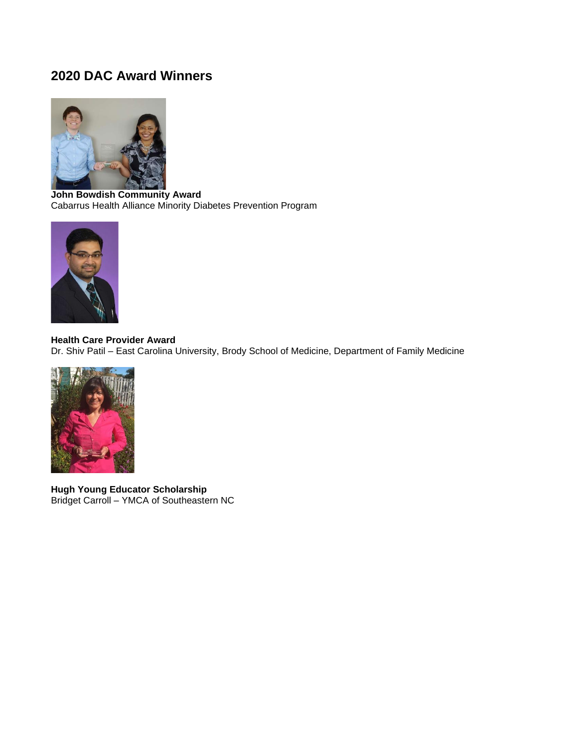

**John Bowdish Community Award** Cabarrus Health Alliance Minority Diabetes Prevention Program



**Health Care Provider Award** Dr. Shiv Patil – East Carolina University, Brody School of Medicine, Department of Family Medicine



**Hugh Young Educator Scholarship** Bridget Carroll – YMCA of Southeastern NC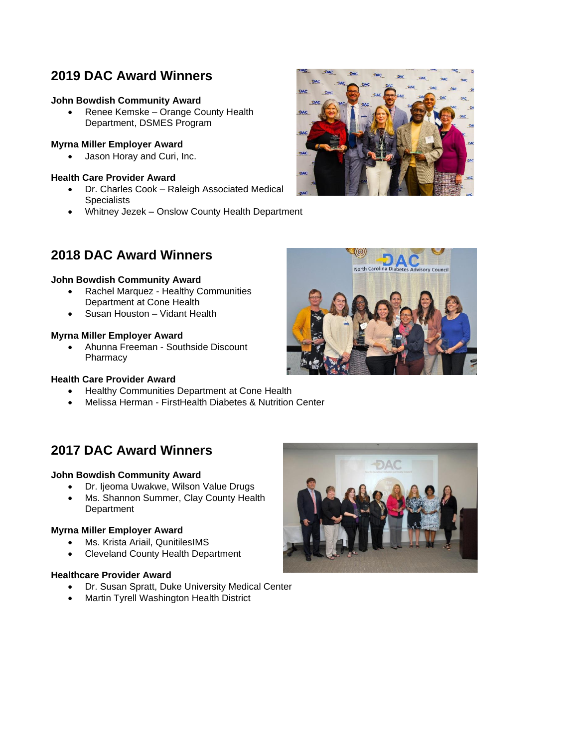## **John Bowdish Community Award**

• Renee Kemske – Orange County Health Department, DSMES Program

## **Myrna Miller Employer Award**

• Jason Horay and Curi, Inc.

### **Health Care Provider Award**

- Dr. Charles Cook Raleigh Associated Medical **Specialists**
- Whitney Jezek Onslow County Health Department



## **2018 DAC Award Winners**

#### **John Bowdish Community Award**

- Rachel Marquez Healthy Communities Department at Cone Health
- Susan Houston Vidant Health

#### **Myrna Miller Employer Award**

• Ahunna Freeman - Southside Discount Pharmacy

#### **Health Care Provider Award**

- Healthy Communities Department at Cone Health
- Melissa Herman FirstHealth Diabetes & Nutrition Center

## **2017 DAC Award Winners**

## **John Bowdish Community Award**

- Dr. Ijeoma Uwakwe, Wilson Value Drugs
- Ms. Shannon Summer, Clay County Health Department

## **Myrna Miller Employer Award**

- Ms. Krista Ariail, QunitilesIMS
- Cleveland County Health Department

#### **Healthcare Provider Award**

- Dr. Susan Spratt, Duke University Medical Center
- Martin Tyrell Washington Health District